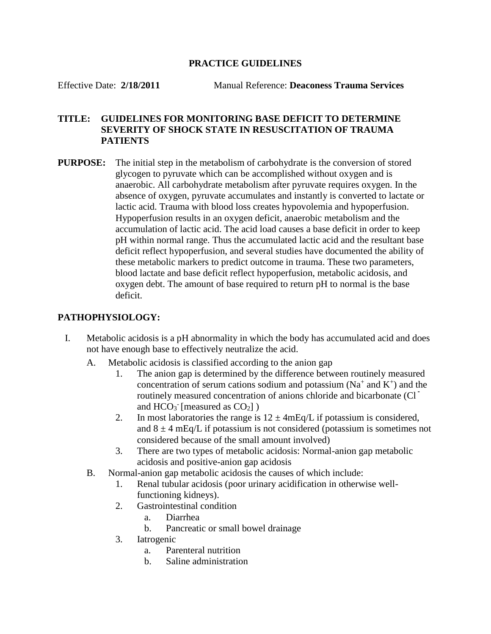### **PRACTICE GUIDELINES**

Effective Date: **2/18/2011** Manual Reference: **Deaconess Trauma Services**

# **TITLE: GUIDELINES FOR MONITORING BASE DEFICIT TO DETERMINE SEVERITY OF SHOCK STATE IN RESUSCITATION OF TRAUMA PATIENTS**

**PURPOSE:** The initial step in the metabolism of carbohydrate is the conversion of stored glycogen to pyruvate which can be accomplished without oxygen and is anaerobic. All carbohydrate metabolism after pyruvate requires oxygen. In the absence of oxygen, pyruvate accumulates and instantly is converted to lactate or lactic acid. Trauma with blood loss creates hypovolemia and hypoperfusion. Hypoperfusion results in an oxygen deficit, anaerobic metabolism and the accumulation of lactic acid. The acid load causes a base deficit in order to keep pH within normal range. Thus the accumulated lactic acid and the resultant base deficit reflect hypoperfusion, and several studies have documented the ability of these metabolic markers to predict outcome in trauma. These two parameters, blood lactate and base deficit reflect hypoperfusion, metabolic acidosis, and oxygen debt. The amount of base required to return pH to normal is the base deficit.

# **PATHOPHYSIOLOGY:**

- I. Metabolic acidosis is a pH abnormality in which the body has accumulated acid and does not have enough base to effectively neutralize the acid.
	- A. Metabolic acidosis is classified according to the anion gap
		- 1. The anion gap is determined by the difference between routinely measured concentration of serum cations sodium and potassium ( $Na<sup>+</sup>$  and  $K<sup>+</sup>$ ) and the routinely measured concentration of anions chloride and bicarbonate (Cl ־ and  $HCO<sub>3</sub>$  [measured as  $CO<sub>2</sub>$ ])
		- 2. In most laboratories the range is  $12 \pm 4$ mEq/L if potassium is considered, and  $8 \pm 4$  mEq/L if potassium is not considered (potassium is sometimes not considered because of the small amount involved)
		- 3. There are two types of metabolic acidosis: Normal-anion gap metabolic acidosis and positive-anion gap acidosis
	- B. Normal-anion gap metabolic acidosis the causes of which include:
		- 1. Renal tubular acidosis (poor urinary acidification in otherwise wellfunctioning kidneys).
		- 2. Gastrointestinal condition
			- a. Diarrhea
			- b. Pancreatic or small bowel drainage
		- 3. Iatrogenic
			- a. Parenteral nutrition
			- b. Saline administration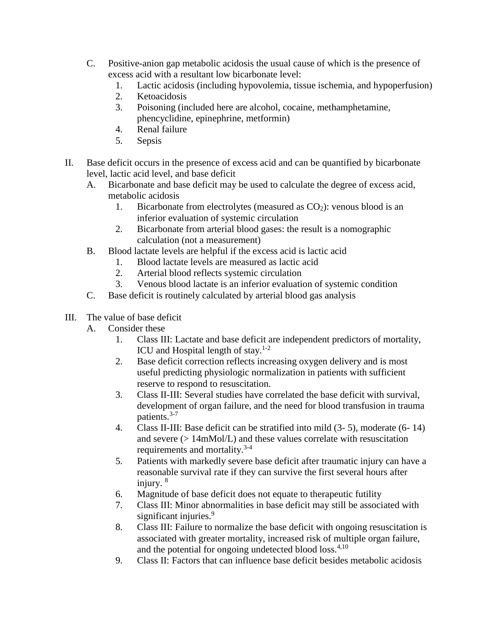- C. Positive-anion gap metabolic acidosis the usual cause of which is the presence of excess acid with a resultant low bicarbonate level:
	- 1. Lactic acidosis (including hypovolemia, tissue ischemia, and hypoperfusion)
	- 2. Ketoacidosis
	- 3. Poisoning (included here are alcohol, cocaine, methamphetamine, phencyclidine, epinephrine, metformin)
	- 4. Renal failure
	- 5. Sepsis
- II. Base deficit occurs in the presence of excess acid and can be quantified by bicarbonate level, lactic acid level, and base deficit
	- A. Bicarbonate and base deficit may be used to calculate the degree of excess acid, metabolic acidosis
		- 1. Bicarbonate from electrolytes (measured as  $CO<sub>2</sub>$ ): venous blood is an inferior evaluation of systemic circulation
		- 2. Bicarbonate from arterial blood gases: the result is a nomographic calculation (not a measurement)
	- B. Blood lactate levels are helpful if the excess acid is lactic acid
		- 1. Blood lactate levels are measured as lactic acid
		- 2. Arterial blood reflects systemic circulation
		- 3. Venous blood lactate is an inferior evaluation of systemic condition
	- C. Base deficit is routinely calculated by arterial blood gas analysis
- III. The value of base deficit
	- A. Consider these
		- 1. Class III: Lactate and base deficit are independent predictors of mortality, ICU and Hospital length of stay. $1-2$
		- 2. Base deficit correction reflects increasing oxygen delivery and is most useful predicting physiologic normalization in patients with sufficient reserve to respond to resuscitation.
		- 3. Class II-III: Several studies have correlated the base deficit with survival, development of organ failure, and the need for blood transfusion in trauma patients.<sup>3-7</sup>
		- 4. Class II-III: Base deficit can be stratified into mild (3- 5), moderate (6- 14) and severe (> 14mMol/L) and these values correlate with resuscitation requirements and mortality.<sup>3-4</sup>
		- 5. Patients with markedly severe base deficit after traumatic injury can have a reasonable survival rate if they can survive the first several hours after injury. 8
		- 6. Magnitude of base deficit does not equate to therapeutic futility
		- 7. Class III: Minor abnormalities in base deficit may still be associated with significant injuries.<sup>9</sup>
		- 8. Class III: Failure to normalize the base deficit with ongoing resuscitation is associated with greater mortality, increased risk of multiple organ failure, and the potential for ongoing undetected blood loss. $4,10$
		- 9. Class II: Factors that can influence base deficit besides metabolic acidosis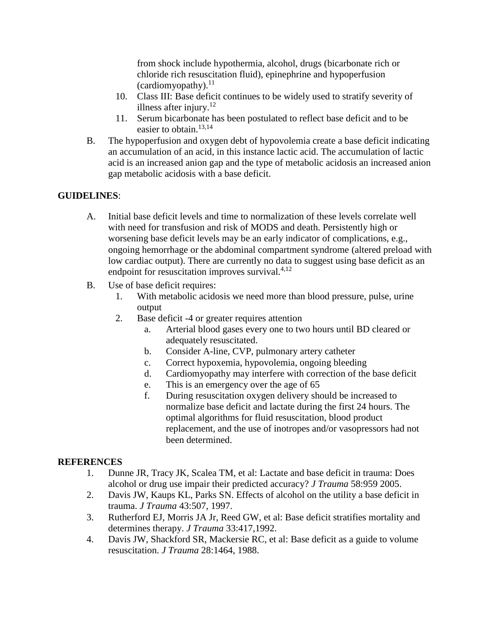from shock include hypothermia, alcohol, drugs (bicarbonate rich or chloride rich resuscitation fluid), epinephrine and hypoperfusion (cardiomyopathy). $^{11}$ 

- 10. Class III: Base deficit continues to be widely used to stratify severity of illness after injury. $12$
- 11. Serum bicarbonate has been postulated to reflect base deficit and to be easier to obtain. $13,14$
- B. The hypoperfusion and oxygen debt of hypovolemia create a base deficit indicating an accumulation of an acid, in this instance lactic acid. The accumulation of lactic acid is an increased anion gap and the type of metabolic acidosis an increased anion gap metabolic acidosis with a base deficit.

## **GUIDELINES**:

- A. Initial base deficit levels and time to normalization of these levels correlate well with need for transfusion and risk of MODS and death. Persistently high or worsening base deficit levels may be an early indicator of complications, e.g., ongoing hemorrhage or the abdominal compartment syndrome (altered preload with low cardiac output). There are currently no data to suggest using base deficit as an endpoint for resuscitation improves survival. $4,12$
- B. Use of base deficit requires:
	- 1. With metabolic acidosis we need more than blood pressure, pulse, urine output
	- 2. Base deficit -4 or greater requires attention
		- a. Arterial blood gases every one to two hours until BD cleared or adequately resuscitated.
		- b. Consider A-line, CVP, pulmonary artery catheter
		- c. Correct hypoxemia, hypovolemia, ongoing bleeding
		- d. Cardiomyopathy may interfere with correction of the base deficit
		- e. This is an emergency over the age of 65
		- f. During resuscitation oxygen delivery should be increased to normalize base deficit and lactate during the first 24 hours. The optimal algorithms for fluid resuscitation, blood product replacement, and the use of inotropes and/or vasopressors had not been determined.

## **REFERENCES**

- 1. Dunne JR, Tracy JK, Scalea TM, et al: Lactate and base deficit in trauma: Does alcohol or drug use impair their predicted accuracy? *J Trauma* 58:959 2005.
- 2. Davis JW, Kaups KL, Parks SN. Effects of alcohol on the utility a base deficit in trauma. *J Trauma* 43:507, 1997.
- 3. Rutherford EJ, Morris JA Jr, Reed GW, et al: Base deficit stratifies mortality and determines therapy. *J Trauma* 33:417,1992.
- 4. Davis JW, Shackford SR, Mackersie RC, et al: Base deficit as a guide to volume resuscitation. *J Trauma* 28:1464, 1988.